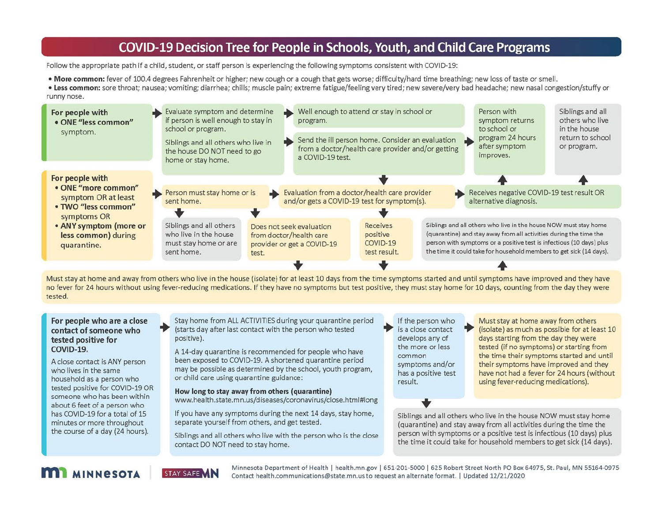## **COVID-19 Decision Tree for People in Schools, Youth, and Child Care Programs**

Follow the appropriate path if a child, student, or staff person is experiencing the following symptoms consistent with COVID-19:

- . More common: fever of 100.4 degrees Fahrenheit or higher; new cough or a cough that gets worse: difficulty/hard time breathing; new loss of taste or smell.
- . Less common: sore throat: nausea: vomiting: diarrhea: chills: muscle pain: extreme fatigue/feeling very tired: new severe/very bad headache: new nasal congestion/stuffy or

runny nose.



Must stay at home and away from others who live in the house (isolate) for at least 10 days from the time symptoms started and until symptoms have improved and they have no fever for 24 hours without using fever-reducing medications. If they have no symptoms but test positive, they must stay home for 10 days, counting from the day they were tested.

#### For people who are a close contact of someone who tested positive for COVID-19.

A close contact is ANY person who lives in the same household as a person who tested positive for COVID-19 OR someone who has been within about 6 feet of a person who has COVID-19 for a total of 15 minutes or more throughout the course of a day (24 hours).

Stay home from ALL ACTIVITIES during your quarantine period (starts day after last contact with the person who tested positive).

A 14-day quarantine is recommended for people who have been exposed to COVID-19. A shortened quarantine period may be possible as determined by the school, youth program, or child care using quarantine guidance:

How long to stay away from others (quarantine)

www.health.state.mn.us/diseases/coronavirus/close.html#long

If you have any symptoms during the next 14 days, stay home, separate yourself from others, and get tested.

Siblings and all others who live with the person who is the close contact DO NOT need to stay home.

If the person who is a close contact develops any of the more or less common symptoms and/or has a positive test result.

Must stay at home away from others (isolate) as much as possible for at least 10 days starting from the day they were tested (if no symptoms) or starting from the time their symptoms started and until their symptoms have improved and they have not had a fever for 24 hours (without using fever-reducing medications).

Siblings and all others who live in the house NOW must stay home (quarantine) and stay away from all activities during the time the person with symptoms or a positive test is infectious (10 days) plus the time it could take for household members to get sick (14 days).





Minnesota Department of Health | health.mn.gov | 651-201-5000 | 625 Robert Street North PO Box 64975, St. Paul, MN 55164-0975 Contact health.communications@state.mn.us to request an alternate format. | Updated 12/21/2020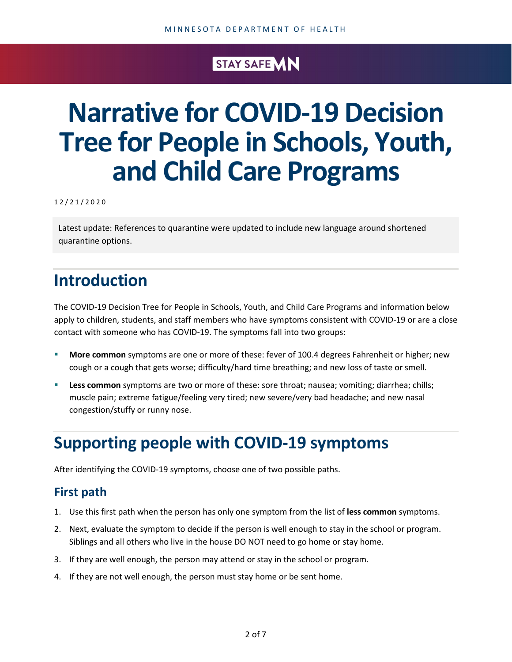## STAY SAFE MN

# **Narrative for COVID-19 Decision Tree for People in Schools, Youth, and Child Care Programs**

1 2 / 2 1 /2020

Latest update: References to quarantine were updated to include new language around shortened quarantine options.

## **Introduction**

The COVID-19 Decision Tree for People in Schools, Youth, and Child Care Programs and information below apply to children, students, and staff members who have symptoms consistent with COVID-19 or are a close contact with someone who has COVID-19. The symptoms fall into two groups:

- **More common** symptoms are one or more of these: fever of 100.4 degrees Fahrenheit or higher; new cough or a cough that gets worse; difficulty/hard time breathing; and new loss of taste or smell.
- **Less common** symptoms are two or more of these: sore throat; nausea; vomiting; diarrhea; chills; muscle pain; extreme fatigue/feeling very tired; new severe/very bad headache; and new nasal congestion/stuffy or runny nose.

## **Supporting people with COVID-19 symptoms**

After identifying the COVID-19 symptoms, choose one of two possible paths.

### **First path**

- 1. Use this first path when the person has only one symptom from the list of **less common** symptoms.
- 2. Next, evaluate the symptom to decide if the person is well enough to stay in the school or program. Siblings and all others who live in the house DO NOT need to go home or stay home.
- 3. If they are well enough, the person may attend or stay in the school or program.
- 4. If they are not well enough, the person must stay home or be sent home.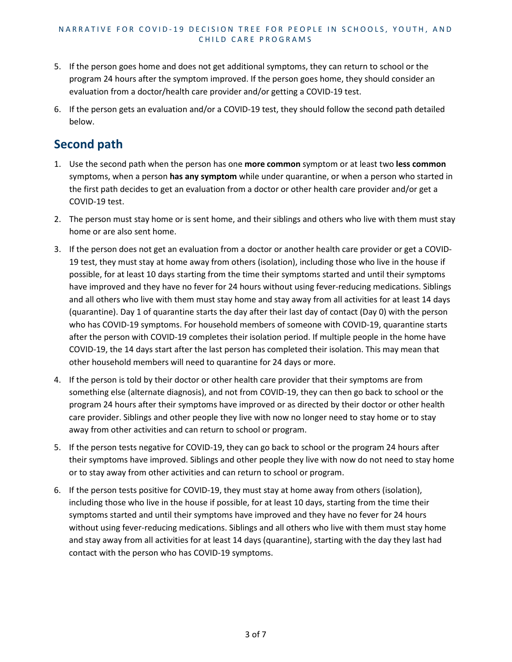- 5. If the person goes home and does not get additional symptoms, they can return to school or the program 24 hours after the symptom improved. If the person goes home, they should consider an evaluation from a doctor/health care provider and/or getting a COVID-19 test.
- 6. If the person gets an evaluation and/or a COVID-19 test, they should follow the second path detailed below.

## **Second path**

- 1. Use the second path when the person has one **more common** symptom or at least two **less common** symptoms, when a person **has any symptom** while under quarantine, or when a person who started in the first path decides to get an evaluation from a doctor or other health care provider and/or get a COVID-19 test.
- 2. The person must stay home or is sent home, and their siblings and others who live with them must stay home or are also sent home.
- 3. If the person does not get an evaluation from a doctor or another health care provider or get a COVID-19 test, they must stay at home away from others (isolation), including those who live in the house if possible, for at least 10 days starting from the time their symptoms started and until their symptoms have improved and they have no fever for 24 hours without using fever-reducing medications. Siblings and all others who live with them must stay home and stay away from all activities for at least 14 days (quarantine). Day 1 of quarantine starts the day after their last day of contact (Day 0) with the person who has COVID-19 symptoms. For household members of someone with COVID-19, quarantine starts after the person with COVID-19 completes their isolation period. If multiple people in the home have COVID-19, the 14 days start after the last person has completed their isolation. This may mean that other household members will need to quarantine for 24 days or more.
- 4. If the person is told by their doctor or other health care provider that their symptoms are from something else (alternate diagnosis), and not from COVID-19, they can then go back to school or the program 24 hours after their symptoms have improved or as directed by their doctor or other health care provider. Siblings and other people they live with now no longer need to stay home or to stay away from other activities and can return to school or program.
- 5. If the person tests negative for COVID-19, they can go back to school or the program 24 hours after their symptoms have improved. Siblings and other people they live with now do not need to stay home or to stay away from other activities and can return to school or program.
- 6. If the person tests positive for COVID-19, they must stay at home away from others (isolation), including those who live in the house if possible, for at least 10 days, starting from the time their symptoms started and until their symptoms have improved and they have no fever for 24 hours without using fever-reducing medications. Siblings and all others who live with them must stay home and stay away from all activities for at least 14 days (quarantine), starting with the day they last had contact with the person who has COVID-19 symptoms.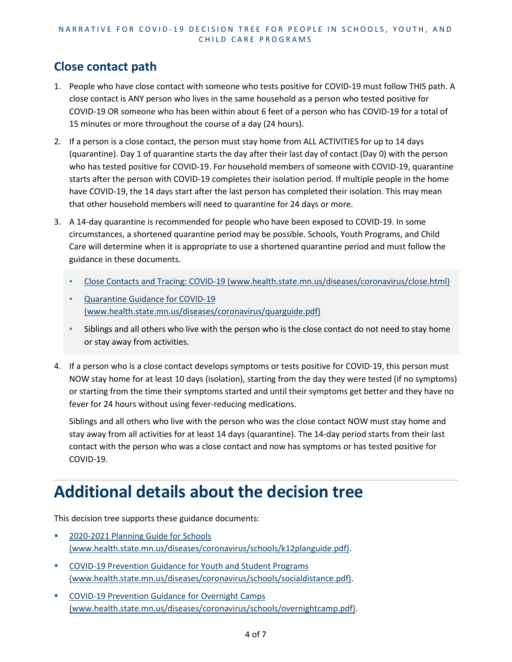#### NARRATIVE FOR COVID - 19 DECISION TREE FOR PEOPLE IN SCHOOLS, YOUTH, AND CHILD CARE PROGRAMS

## **Close contact path**

- 1. People who have close contact with someone who tests positive for COVID-19 must follow THIS path. A close contact is ANY person who lives in the same household as a person who tested positive for COVID-19 OR someone who has been within about 6 feet of a person who has COVID-19 for a total of 15 minutes or more throughout the course of a day (24 hours).
- 2. If a person is a close contact, the person must stay home from ALL ACTIVITIES for up to 14 days (quarantine). Day 1 of quarantine starts the day after their last day of contact (Day 0) with the person who has tested positive for COVID-19. For household members of someone with COVID-19, quarantine starts after the person with COVID-19 completes their isolation period. If multiple people in the home have COVID-19, the 14 days start after the last person has completed their isolation. This may mean that other household members will need to quarantine for 24 days or more.
- 3. A 14-day quarantine is recommended for people who have been exposed to COVID-19. In some circumstances, a shortened quarantine period may be possible. Schools, Youth Programs, and Child Care will determine when it is appropriate to use a shortened quarantine period and must follow the guidance in these documents.
	- [Close Contacts and Tracing: COVID-19 \(www.health.state.mn.us/diseases/coronavirus/close.html\)](https://www.health.state.mn.us/diseases/coronavirus/close.html)
	- **Quarantine Guidance for COVID-19** [\(www.health.state.mn.us/diseases/coronavirus/quarguide.pdf\)](https://www.health.state.mn.us/diseases/coronavirus/quarguide.pdf)
	- **EXECT** Siblings and all others who live with the person who is the close contact do not need to stay home or stay away from activities.
- 4. If a person who is a close contact develops symptoms or tests positive for COVID-19, this person must NOW stay home for at least 10 days (isolation), starting from the day they were tested (if no symptoms) or starting from the time their symptoms started and until their symptoms get better and they have no fever for 24 hours without using fever-reducing medications.

Siblings and all others who live with the person who was the close contact NOW must stay home and stay away from all activities for at least 14 days (quarantine). The 14-day period starts from their last contact with the person who was a close contact and now has symptoms or has tested positive for COVID-19.

## **Additional details about the decision tree**

This decision tree supports these guidance documents:

- **2020-2021 Planning Guide for Schools** [\(www.health.state.mn.us/diseases/coronavirus/schools/k12planguide.pdf\).](https://www.health.state.mn.us/diseases/coronavirus/schools/k12planguide.pdf)
- [COVID-19 Prevention Guidance for Youth and Student Programs](https://www.health.state.mn.us/diseases/coronavirus/schools/socialdistance.pdf)  [\(www.health.state.mn.us/diseases/coronavirus/schools/socialdistance.pdf\).](https://www.health.state.mn.us/diseases/coronavirus/schools/socialdistance.pdf)
- [COVID-19 Prevention Guidance for Overnight Camps](https://www.health.state.mn.us/diseases/coronavirus/schools/overnightcamp.pdf)  [\(www.health.state.mn.us/diseases/coronavirus/schools/overnightcamp.pdf\).](https://www.health.state.mn.us/diseases/coronavirus/schools/overnightcamp.pdf)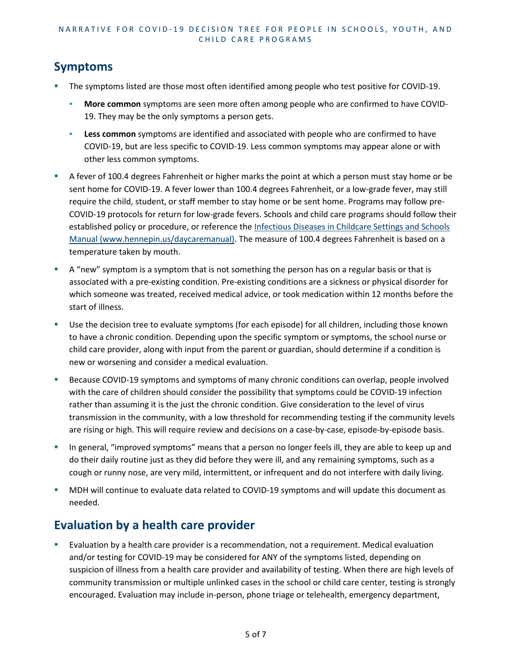#### NARRATIVE FOR COVID - 19 DECISION TREE FOR PEOPLE IN SCHOOLS, YOUTH, AND CHILD CARE PROGRAMS

## **Symptoms**

- The symptoms listed are those most often identified among people who test positive for COVID-19.
	- **More common** symptoms are seen more often among people who are confirmed to have COVID-19. They may be the only symptoms a person gets.
	- **Less common** symptoms are identified and associated with people who are confirmed to have COVID-19, but are less specific to COVID-19. Less common symptoms may appear alone or with other less common symptoms.
- A fever of 100.4 degrees Fahrenheit or higher marks the point at which a person must stay home or be sent home for COVID-19. A fever lower than 100.4 degrees Fahrenheit, or a low-grade fever, may still require the child, student, or staff member to stay home or be sent home. Programs may follow pre-COVID-19 protocols for return for low-grade fevers. Schools and child care programs should follow their established policy or procedure, or reference the [Infectious Diseases in Childcare Settings and Schools](https://www.hennepin.us/daycaremanual)  [Manual \(www.hennepin.us/daycaremanual\).](https://www.hennepin.us/daycaremanual) The measure of 100.4 degrees Fahrenheit is based on a temperature taken by mouth.
- A "new" symptom is a symptom that is not something the person has on a regular basis or that is associated with a pre-existing condition. Pre-existing conditions are a sickness or physical disorder for which someone was treated, received medical advice, or took medication within 12 months before the start of illness.
- Use the decision tree to evaluate symptoms (for each episode) for all children, including those known to have a chronic condition. Depending upon the specific symptom or symptoms, the school nurse or child care provider, along with input from the parent or guardian, should determine if a condition is new or worsening and consider a medical evaluation.
- Because COVID-19 symptoms and symptoms of many chronic conditions can overlap, people involved with the care of children should consider the possibility that symptoms could be COVID-19 infection rather than assuming it is the just the chronic condition. Give consideration to the level of virus transmission in the community, with a low threshold for recommending testing if the community levels are rising or high. This will require review and decisions on a case-by-case, episode-by-episode basis.
- In general, "improved symptoms" means that a person no longer feels ill, they are able to keep up and do their daily routine just as they did before they were ill, and any remaining symptoms, such as a cough or runny nose, are very mild, intermittent, or infrequent and do not interfere with daily living.
- MDH will continue to evaluate data related to COVID-19 symptoms and will update this document as needed.

## **Evaluation by a health care provider**

 Evaluation by a health care provider is a recommendation, not a requirement. Medical evaluation and/or testing for COVID-19 may be considered for ANY of the symptoms listed, depending on suspicion of illness from a health care provider and availability of testing. When there are high levels of community transmission or multiple unlinked cases in the school or child care center, testing is strongly encouraged. Evaluation may include in-person, phone triage or telehealth, emergency department,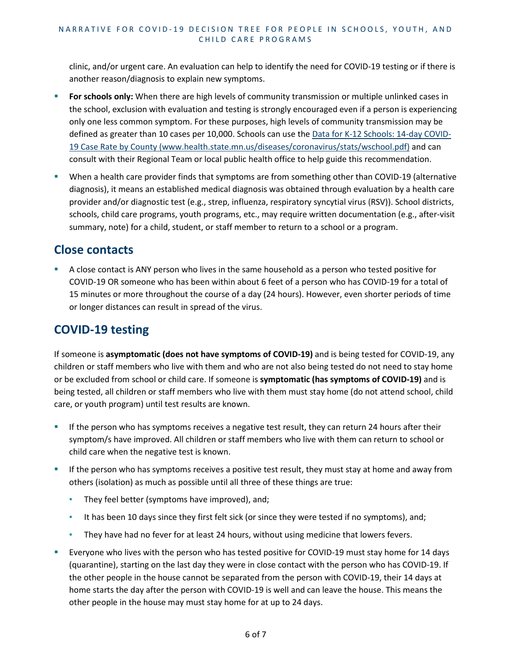clinic, and/or urgent care. An evaluation can help to identify the need for COVID-19 testing or if there is another reason/diagnosis to explain new symptoms.

- **For schools only:** When there are high levels of community transmission or multiple unlinked cases in the school, exclusion with evaluation and testing is strongly encouraged even if a person is experiencing only one less common symptom. For these purposes, high levels of community transmission may be defined as greater than 10 cases per 10,000. Schools can use the [Data for K-12 Schools: 14-day COVID-](https://www.health.state.mn.us/diseases/coronavirus/stats/wschool.pdf)[19 Case Rate by County \(www.health.state.mn.us/diseases/coronavirus/stats/wschool.pdf\)](https://www.health.state.mn.us/diseases/coronavirus/stats/wschool.pdf) and can consult with their Regional Team or local public health office to help guide this recommendation.
- When a health care provider finds that symptoms are from something other than COVID-19 (alternative diagnosis), it means an established medical diagnosis was obtained through evaluation by a health care provider and/or diagnostic test (e.g., strep, influenza, respiratory syncytial virus **(**RSV)). School districts, schools, child care programs, youth programs, etc., may require written documentation (e.g., after-visit summary, note) for a child, student, or staff member to return to a school or a program.

### **Close contacts**

 A close contact is ANY person who lives in the same household as a person who tested positive for COVID-19 OR someone who has been within about 6 feet of a person who has COVID-19 for a total of 15 minutes or more throughout the course of a day (24 hours). However, even shorter periods of time or longer distances can result in spread of the virus.

### **COVID-19 testing**

If someone is **asymptomatic (does not have symptoms of COVID-19)** and is being tested for COVID-19, any children or staff members who live with them and who are not also being tested do not need to stay home or be excluded from school or child care. If someone is **symptomatic (has symptoms of COVID-19)** and is being tested, all children or staff members who live with them must stay home (do not attend school, child care, or youth program) until test results are known.

- **If the person who has symptoms receives a negative test result, they can return 24 hours after their** symptom/s have improved. All children or staff members who live with them can return to school or child care when the negative test is known.
- If the person who has symptoms receives a positive test result, they must stay at home and away from others (isolation) as much as possible until all three of these things are true:
	- **•** They feel better (symptoms have improved), and;
	- It has been 10 days since they first felt sick (or since they were tested if no symptoms), and;
	- **They have had no fever for at least 24 hours, without using medicine that lowers fevers.**
- Everyone who lives with the person who has tested positive for COVID-19 must stay home for 14 days (quarantine), starting on the last day they were in close contact with the person who has COVID-19. If the other people in the house cannot be separated from the person with COVID-19, their 14 days at home starts the day after the person with COVID-19 is well and can leave the house. This means the other people in the house may must stay home for at up to 24 days.